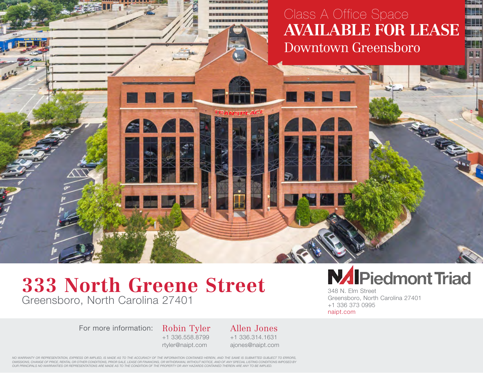## **AVAILABLE FOR LEASE** m **EVENT CAN EXPLORER** Class A Office Space Downtown Greensboro

6 N

## **333 North Greene Street** Greensboro, North Carolina 27401

ER1

For more information: Robin Tyler

+1 336.558.8799 rtyler@naipt.com

Allen Jones +1 336.314.1631 ajones@naipt.com

## **NAIPiedmont Triad**

348 N. Elm Street Greensboro, North Carolina 27401 +1 336 373 0995 naipt.com

*NO WARRANTY OR REPRESENTATION, EXPRESS OR IMPLIED, IS MADE AS TO THE ACCURACY OF THE INFORMATION CONTAINED HEREIN, AND THE SAME IS SUBMITTED SUBJECT TO ERRORS, OMISSIONS, CHANGE OF PRICE, RENTAL OR OTHER CONDITIONS, PRIOR SALE, LEASE OR FINANCING, OR WITHDRAWAL WITHOUT NOTICE, AND OF ANY SPECIAL LISTING CONDITIONS IMPOSED BY OUR PRINCIPALS NO WARRANTIES OR REPRESENTATIONS ARE MADE AS TO THE CONDITION OF THE PROPERTY OR ANY HAZARDS CONTAINED THEREIN ARE ANY TO BE IMPLIED.*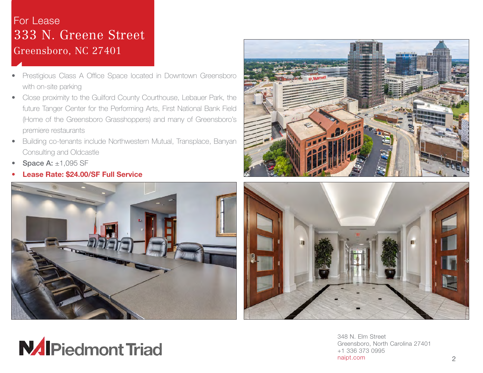## r Lease<br>22 Nillemana Str **EVALUATE:** DU Croopshore, NC 27401 AVAILABLE FOR SALES FOR SALES FOR SALES FOR SALES FOR SALES FOR SALES FOR SALES FOR SALES FOR SALES FOR SALES FOR SALES FOR SALES FOR SALES FOR SALES FOR SALES FOR SALES FOR SALES FOR SALES FOR SALES FOR SALES FOR SALES FO For Lease 333 N. Greene Street Greensboro, NC 27401

- Prestigious Class A Office Space located in Downtown Greensboro with on-site parking
- Close proximity to the Guilford County Courthouse, Lebauer Park, the future Tanger Center for the Performing Arts, First National Bank Field (Home of the Greensboro Grasshoppers) and many of Greensboro's premiere restaurants
- Building co-tenants include Northwestern Mutual, Transplace, Banyan Consulting and Oldcastle
- **Space A:**  $\pm 1,095$  SF
- Lease Rate: \$24.00/SF Full Service









348 N. Elm Street Greensboro, North Carolina 27401 +1 336 373 0995 naipt.com